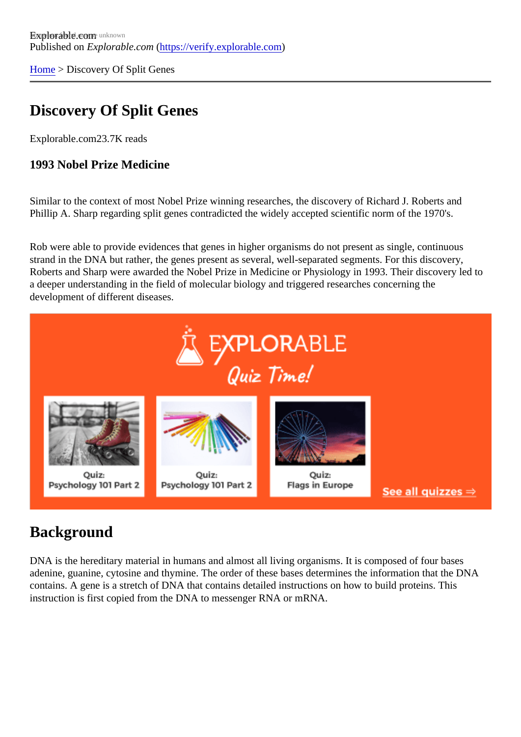[Home](https://verify.explorable.com/) > Discovery Of Split Genes

# Discovery Of Split Genes

Explorable.com23.7K reads

1993 Nobel Prize Medicine

Similar to the context of most Nobel Prize winning researches, the discovery of Richard J. Roberts and Phillip A. Sharp regarding split genes contradicted the widely accepted scientific norm of the 1970's.

Rob were able to provide evidences that genes in higher organisms do not present as single, continuous strand in the DNA but rather, the genes present as several, well-separated segments. For this discovery, Roberts and Sharp were awarded the Nobel Prize in Medicine or Physiology in 1993. Their discovery led t a deeper understanding in the field of molecular biology and triggered researches concerning the development of different diseases.

### **Background**

DNA is the hereditary material in humans and almost all living organisms. It is composed of four bases adenine, guanine, cytosine and thymine. The order of these bases determines the information that the DN contains. A gene is a stretch of DNA that contains detailed instructions on how to build proteins. This instruction is first copied from the DNA to messenger RNA or mRNA.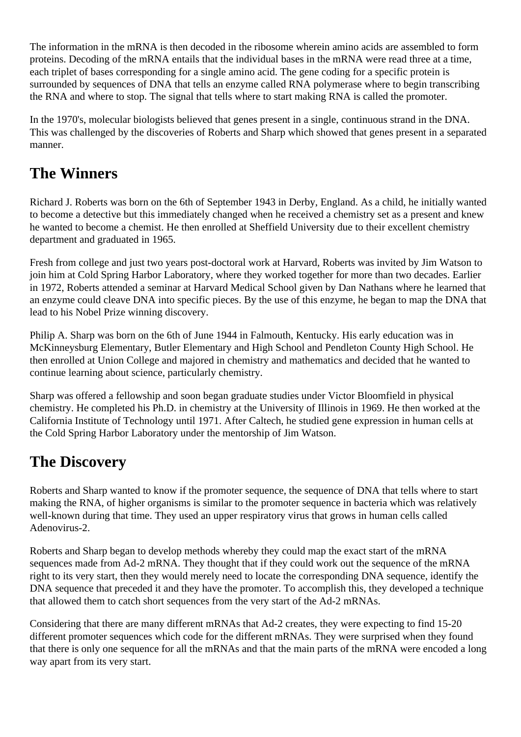The information in the mRNA is then decoded in the ribosome wherein amino acids are assembled to form proteins. Decoding of the mRNA entails that the individual bases in the mRNA were read three at a time, each triplet of bases corresponding for a single amino acid. The gene coding for a specific protein is surrounded by sequences of DNA that tells an enzyme called RNA polymerase where to begin transcribing the RNA and where to stop. The signal that tells where to start making RNA is called the promoter.

In the 1970's, molecular biologists believed that genes present in a single, continuous strand in the DNA. This was challenged by the discoveries of Roberts and Sharp which showed that genes present in a separated manner.

### **The Winners**

Richard J. Roberts was born on the 6th of September 1943 in Derby, England. As a child, he initially wanted to become a detective but this immediately changed when he received a chemistry set as a present and knew he wanted to become a chemist. He then enrolled at Sheffield University due to their excellent chemistry department and graduated in 1965.

Fresh from college and just two years post-doctoral work at Harvard, Roberts was invited by Jim Watson to join him at Cold Spring Harbor Laboratory, where they worked together for more than two decades. Earlier in 1972, Roberts attended a seminar at Harvard Medical School given by Dan Nathans where he learned that an enzyme could cleave DNA into specific pieces. By the use of this enzyme, he began to map the DNA that lead to his Nobel Prize winning discovery.

Philip A. Sharp was born on the 6th of June 1944 in Falmouth, Kentucky. His early education was in McKinneysburg Elementary, Butler Elementary and High School and Pendleton County High School. He then enrolled at Union College and majored in chemistry and mathematics and decided that he wanted to continue learning about science, particularly chemistry.

Sharp was offered a fellowship and soon began graduate studies under Victor Bloomfield in physical chemistry. He completed his Ph.D. in chemistry at the University of Illinois in 1969. He then worked at the California Institute of Technology until 1971. After Caltech, he studied gene expression in human cells at the Cold Spring Harbor Laboratory under the mentorship of Jim Watson.

# **The Discovery**

Roberts and Sharp wanted to know if the promoter sequence, the sequence of DNA that tells where to start making the RNA, of higher organisms is similar to the promoter sequence in bacteria which was relatively well-known during that time. They used an upper respiratory virus that grows in human cells called Adenovirus-2.

Roberts and Sharp began to develop methods whereby they could map the exact start of the mRNA sequences made from Ad-2 mRNA. They thought that if they could work out the sequence of the mRNA right to its very start, then they would merely need to locate the corresponding DNA sequence, identify the DNA sequence that preceded it and they have the promoter. To accomplish this, they developed a technique that allowed them to catch short sequences from the very start of the Ad-2 mRNAs.

Considering that there are many different mRNAs that Ad-2 creates, they were expecting to find 15-20 different promoter sequences which code for the different mRNAs. They were surprised when they found that there is only one sequence for all the mRNAs and that the main parts of the mRNA were encoded a long way apart from its very start.